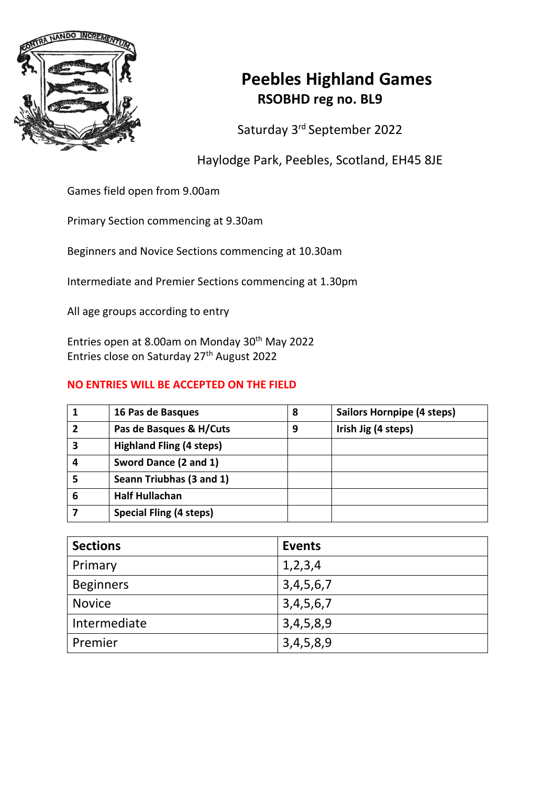

# **Peebles Highland Games RSOBHD reg no. BL9**

Saturday 3 rd September 2022

Haylodge Park, Peebles, Scotland, EH45 8JE

Games field open from 9.00am

Primary Section commencing at 9.30am

Beginners and Novice Sections commencing at 10.30am

Intermediate and Premier Sections commencing at 1.30pm

All age groups according to entry

Entries open at 8.00am on Monday 30th May 2022 Entries close on Saturday 27th August 2022

## **NO ENTRIES WILL BE ACCEPTED ON THE FIELD**

|   | 16 Pas de Basques               | 8 | <b>Sailors Hornpipe (4 steps)</b> |
|---|---------------------------------|---|-----------------------------------|
| 2 | Pas de Basques & H/Cuts         | 9 | Irish Jig (4 steps)               |
| 3 | <b>Highland Fling (4 steps)</b> |   |                                   |
| 4 | Sword Dance (2 and 1)           |   |                                   |
| 5 | Seann Triubhas (3 and 1)        |   |                                   |
| 6 | <b>Half Hullachan</b>           |   |                                   |
|   | <b>Special Fling (4 steps)</b>  |   |                                   |

| <b>Sections</b>  | <b>Events</b> |  |  |
|------------------|---------------|--|--|
| Primary          | 1,2,3,4       |  |  |
| <b>Beginners</b> | 3,4,5,6,7     |  |  |
| <b>Novice</b>    | 3, 4, 5, 6, 7 |  |  |
| Intermediate     | 3,4,5,8,9     |  |  |
| Premier          | 3,4,5,8,9     |  |  |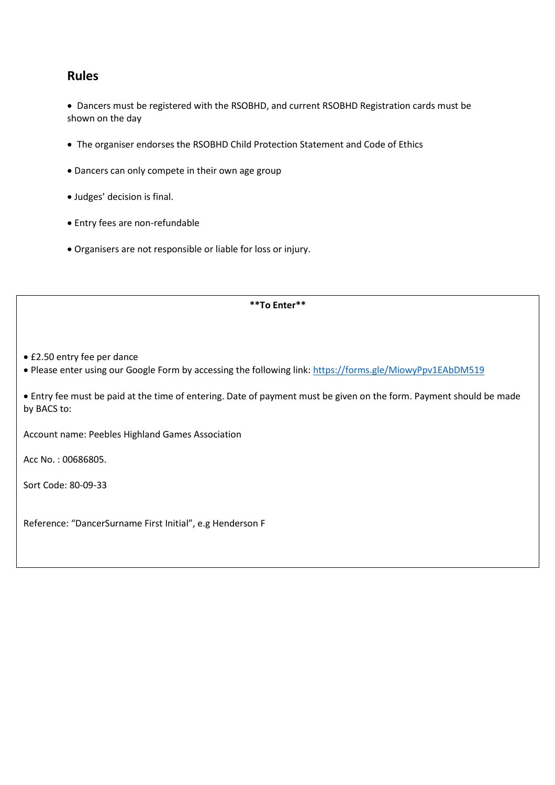# **Rules**

• Dancers must be registered with the RSOBHD, and current RSOBHD Registration cards must be shown on the day

- The organiser endorses the RSOBHD Child Protection Statement and Code of Ethics
- Dancers can only compete in their own age group
- Judges' decision is final.
- Entry fees are non-refundable
- Organisers are not responsible or liable for loss or injury.

#### **\*\*To Enter\*\***

• £2.50 entry fee per dance

• Please enter using our Google Form by accessing the following link: https://forms.gle/MiowyPpv1EAbDM519

• Entry fee must be paid at the time of entering. Date of payment must be given on the form. Payment should be made by BACS to:

Account name: Peebles Highland Games Association

Acc No. : 00686805.

Sort Code: 80-09-33

Reference: "DancerSurname First Initial", e.g Henderson F